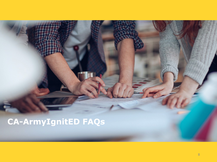# **CA-ArmyIgnitED FAQs**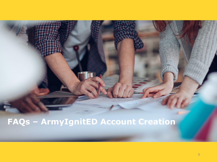# FAQs - ArmyIgnitED Account Creation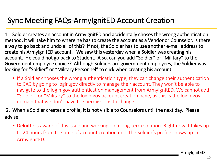### Sync Meeting FAQs-ArmyIgnitED Account Creation

1. Soldier creates an account in ArmyIgnitED and accidentally choses the wrong authentication method, it will take him to where he has to create the account as a Vendor or Counselor. Is there a way to go back and undo all of this? If not, the Soldier has to use another e-mail address to create his ArmyIgnitED account. We saw this yesterday when a Soldier was creating his account. He could not go back to Student. Also, can you add "Soldier" or "Military" to the Government employee choice? Although Soldiers are government employees, the Soldier was looking for "Soldier" or "Military Personnel" to click when creating his account.

• If a Soldier chooses the wrong authentication type, they can change their authentication to CAC by going to login.gov directly to manage their account. They won't be able to navigate to the login.gov authentication management from ArmyIgnitED. We cannot add "Soldier" or "Military" to the login.gov account creation page, as this is the login.gov domain that we don't have the permissions to change.

2. When a Soldier creates a profile, it is not visible to Counselors until the next day. Please advise.

• Deloitte is aware of this issue and working on a long-term solution. Right now it takes up to 24 hours from the time of account creation until the Soldier's profile shows up in ArmyIgnitED.

ArmyIgnitED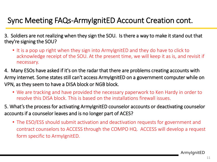### Sync Meeting FAQs-ArmyIgnitED Account Creation cont.

3. Soldiers are not realizing when they sign the SOU. Is there a way to make it stand out that they're signing the SOU?

• It is a pop up right when they sign into ArmyIgnitED and they do have to click to acknowledge receipt of the SOU. At the present time, we will keep it as is, and revisit if necessary.

4. Many ESOs have asked if it's on the radar that there are problems creating accounts with Army internet. Some states still can't access ArmyIgnitED on a government computer while on VPN, as they seem to have a DISA block or NGB block.

- We are tracking and have provided the necessary paperwork to Ken Hardy in order to resolve this DISA block. This is based on the installations firewall issues.
- 5. What's the process for activating ArmyIgnitED counselor accounts or deactivating counselor accounts if a counselor leaves and is no longer part of ACES?
	- The ESO/ESS should submit activation and deactivation requests for government and contract counselors to ACCESS through the COMPO HQ. ACCESS will develop a request form specific to ArmyIgnitED.

ArmyIgnitED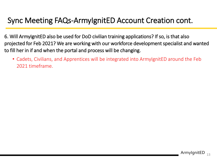### Sync Meeting FAQs-ArmyIgnitED Account Creation cont.

6. Will ArmyIgnitED also be used for DoD civilian training applications? If so, is that also projected for Feb 2021? We are working with our workforce development specialist and wanted to fill her in if and when the portal and process will be changing.

• Cadets, Civilians, and Apprentices will be integrated into ArmyIgnitED around the Feb 2021 timeframe.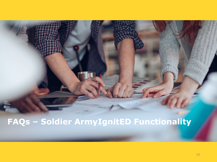## FAQs - Soldier ArmyIgnitED Functionality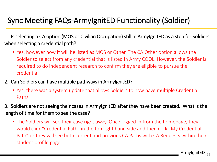## Sync Meeting FAQs-ArmyIgnitED Functionality (Soldier)

1. Is selecting a CA option (MOS or Civilian Occupation) still in ArmyIgnitED as a step for Soldiers when selecting a credential path?

- Yes, however now it will be listed as MOS or Other. The CA Other option allows the Soldier to select from any credential that is listed in Army COOL. However, the Soldier is required to do independent research to confirm they are eligible to pursue the credential.
- 2. Can Soldiers can have multiple pathways in ArmyIgnitED?
	- Yes, there was a system update that allows Soldiers to now have multiple Credential Paths.
- 3. Soldiers are not seeing their cases in ArmyIgnitED after they have been created. What is the length of time for them to see the case?
	- The Soldiers will see their case right away. Once logged in from the homepage, they would click "Credential Path" in the top right hand side and then click "My Credential Path" or they will see both current and previous CA Paths with CA Requests within their student profile page.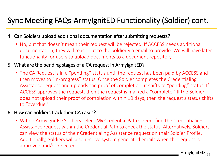### Sync Meeting FAQs-ArmyIgnitED Functionality (Soldier) cont.

- 4. Can Soldiers upload additional documentation after submitting requests?
	- No, but that doesn't mean their request will be rejected. If ACCESS needs additional documentation, they will reach out to the Soldier via email to provide. We will have later functionality for users to upload documents to a document repository.
- 5. What are the pending stages of a CA request in ArmyIgnitED?
	- The CA Request is in a "pending" status until the request has been paid by ACCESS and then moves to "in-progress" status. Once the Soldier completes the Credentialing Assistance request and uploads the proof of completion, it shifts to "pending" status. If ACCESS approves the request, then the request is marked a "complete." If the Soldier does not upload their proof of completion within 10 days, then the request's status shifts to "overdue."
- 6. How can Soldiers track their CA cases?
	- Within ArmyIgnitED Soldiers select My Credential Path screen, find the Credentialing Assistance request within the Credential Path to check the status. Alternatively, Soldiers can view the status of their Credentialing Assistance request on their Soldier Profile. Additionally, Soldiers will also receive system generated emails when the request is approved and/or rejected.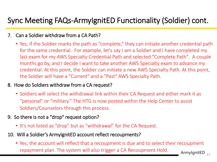## Sync Meeting FAQs-ArmyIgnitED Functionality (Soldier) cont.

#### 7. Can a Soldier withdraw from a CA Path?

• Yes, if the Soldier marks the path as "complete," they can initiate another credential path for the same credential. For example, let's say I am a Soldier and I have completed my last exam for my AWS Specialty Credential Path and selected "Complete Path". A couple months go by, and I decide I want to take another AWS Specialty exam to advance my credential. At this point, the Soldier can initiate a new AWS Specialty Path. At this point, the Soldier will have a "Current" and a "Past" AWS Specialty Path.

#### 8. How do Soldiers withdraw from a CA request?

• Soldiers will select the withdrawal link within their CA Request and either mark it as "personal" or "military." The HTG is now posted within the Help Center to assist Soldiers/Counselors through this process.

#### 9. So there is not a "drop" request option?

- It's not listed as "drop" but as "withdrawal" for the CA Request.
- 10. Will a Soldier's ArmylgnitED account reflect recoupments?
	- Armylgnit ${\sf ED}_{-17}$ • Yes, the account will reflect that a recoupment is due and to select their recoupment repayment plan. The system will also trigger a CA Recoupment Hold.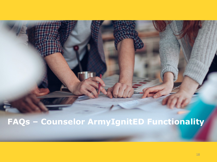# FAQs - Counselor ArmyIgnitED Functionality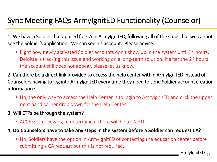## Sync Meeting FAQs-ArmyIgnitED Functionality (Counselor)

1. We have a Soldier that applied for CA in ArmyIgnitED, following all of the steps, but we cannot see the Soldier's application. We can see his account. Please advise.

• Right now newly activated Soldier accounts don't show up in the system until 24 hours. Deloitte is tracking this issue and working on a long-term solution. If after the 24 hours the account still does not appear, please let us know.

2. Can there be a direct link provided to access the help center within ArmyIgnitED instead of Counselors having to log into ArmyIgnitED every time they need to send Soldier account creation information?

- No, the only way to access the Help Center is to login to ArmyIgnitED and click the upper right hand corner drop down for the Help Center.
- 3. Will ETPs be through the system?
	- ACCESS is reviewing to determine if there will be a CA ETP.
- **4. Do Counselors have to take any steps in the system before a Soldier can request CA?**
	- No. Soldiers have the option in ArmyIgnitED of contacting the education center before submitting a CA request but this is not required.

Armylgnit ${\sf ED}_{15}$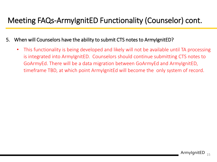## Meeting FAQs-ArmyIgnitED Functionality (Counselor) cont.

- 5. When will Counselors have the ability to submit CTS notes to ArmyIgnitED?
	- This functionality is being developed and likely will not be available until TA processing is integrated into ArmyIgnitED. Counselors should continue submitting CTS notes to GoArmyEd. There will be a data migration between GoArmyEd and ArmyIgnitED, timeframe TBD, at which point ArmyIgnitEd will become the only system of record.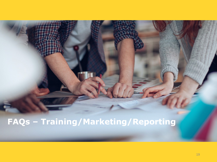## **FAQs – Training/Marketing/Reporting**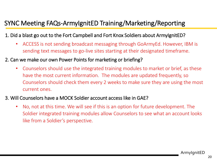### SYNC Meeting FAQs-ArmyIgnitED Training/Marketing/Reporting

- 1. Did a blast go out to the Fort Campbell and Fort Knox Soldiers about ArmyIgnitED?
	- ACCESS is not sending broadcast messaging through GoArmyEd. However, IBM is sending text messages to go-live sites starting at their designated timeframe.
- 2. Can we make our own Power Points for marketing or briefing?
	- Counselors should use the integrated training modules to market or brief, as these have the most current information. The modules are updated frequently, so Counselors should check them every 2 weeks to make sure they are using the most current ones.
- 3. Will Counselors have a MOCK Soldier account access like in GAE?
	- No, not at this time. We will see if this is an option for future development. The Soldier integrated training modules allow Counselors to see what an account looks like from a Soldier's perspective.